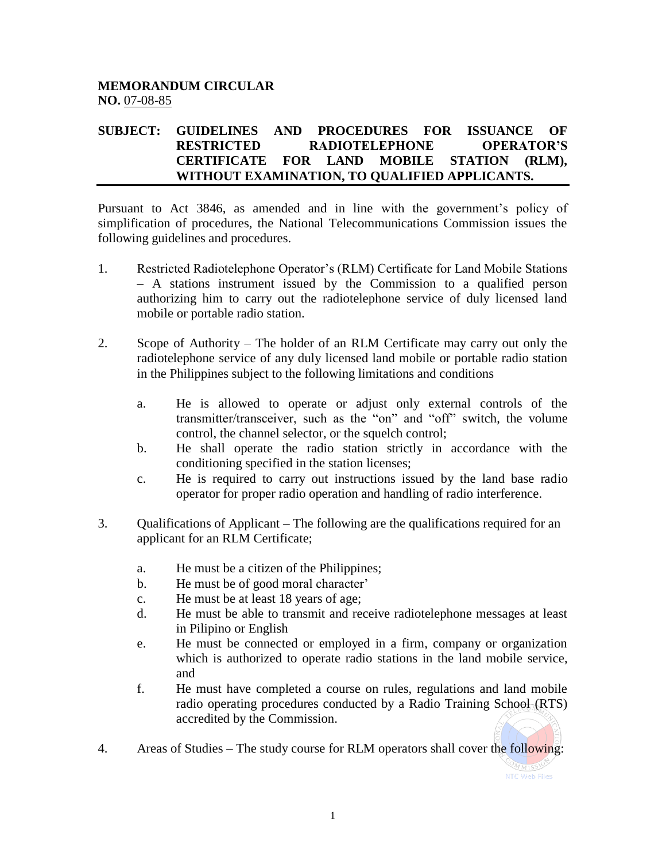## **MEMORANDUM CIRCULAR NO.** 07-08-85

## **SUBJECT: GUIDELINES AND PROCEDURES FOR ISSUANCE OF RESTRICTED RADIOTELEPHONE OPERATOR'S CERTIFICATE FOR LAND MOBILE STATION (RLM), WITHOUT EXAMINATION, TO QUALIFIED APPLICANTS.**

Pursuant to Act 3846, as amended and in line with the government's policy of simplification of procedures, the National Telecommunications Commission issues the following guidelines and procedures.

- 1. Restricted Radiotelephone Operator's (RLM) Certificate for Land Mobile Stations – A stations instrument issued by the Commission to a qualified person authorizing him to carry out the radiotelephone service of duly licensed land mobile or portable radio station.
- 2. Scope of Authority The holder of an RLM Certificate may carry out only the radiotelephone service of any duly licensed land mobile or portable radio station in the Philippines subject to the following limitations and conditions
	- a. He is allowed to operate or adjust only external controls of the transmitter/transceiver, such as the "on" and "off" switch, the volume control, the channel selector, or the squelch control;
	- b. He shall operate the radio station strictly in accordance with the conditioning specified in the station licenses;
	- c. He is required to carry out instructions issued by the land base radio operator for proper radio operation and handling of radio interference.
- 3. Qualifications of Applicant The following are the qualifications required for an applicant for an RLM Certificate;
	- a. He must be a citizen of the Philippines;
	- b. He must be of good moral character'
	- c. He must be at least 18 years of age;
	- d. He must be able to transmit and receive radiotelephone messages at least in Pilipino or English
	- e. He must be connected or employed in a firm, company or organization which is authorized to operate radio stations in the land mobile service, and
	- f. He must have completed a course on rules, regulations and land mobile radio operating procedures conducted by a Radio Training School (RTS) accredited by the Commission.
- 4. Areas of Studies The study course for RLM operators shall cover the following: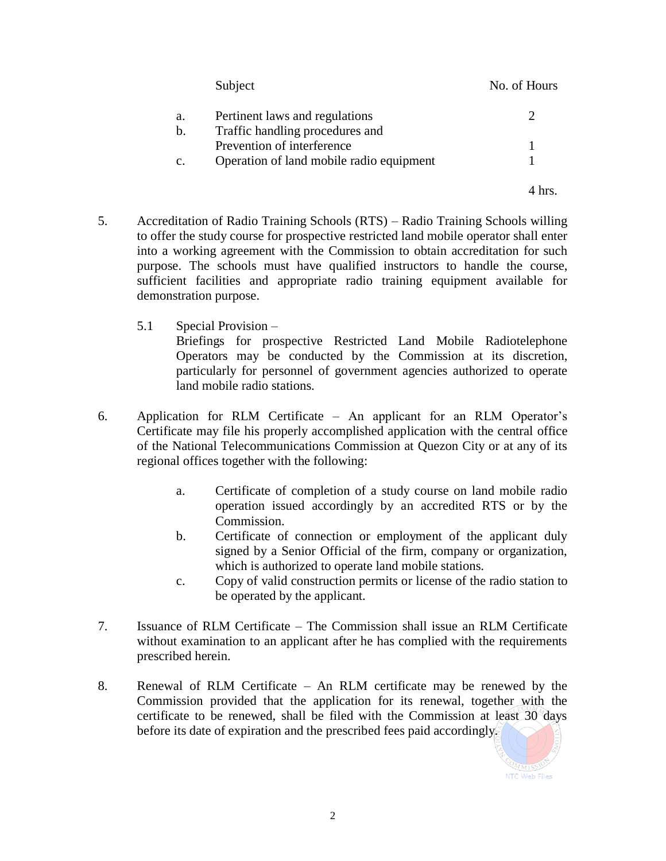|                | Subject                                  | No. of Hours |
|----------------|------------------------------------------|--------------|
| a.             | Pertinent laws and regulations           |              |
| b.             | Traffic handling procedures and          |              |
|                | Prevention of interference               |              |
| $\mathbf{c}$ . | Operation of land mobile radio equipment |              |
|                |                                          |              |

4 hrs.

- 5. Accreditation of Radio Training Schools (RTS) Radio Training Schools willing to offer the study course for prospective restricted land mobile operator shall enter into a working agreement with the Commission to obtain accreditation for such purpose. The schools must have qualified instructors to handle the course, sufficient facilities and appropriate radio training equipment available for demonstration purpose.
	- 5.1 Special Provision –

Briefings for prospective Restricted Land Mobile Radiotelephone Operators may be conducted by the Commission at its discretion, particularly for personnel of government agencies authorized to operate land mobile radio stations.

- 6. Application for RLM Certificate An applicant for an RLM Operator's Certificate may file his properly accomplished application with the central office of the National Telecommunications Commission at Quezon City or at any of its regional offices together with the following:
	- a. Certificate of completion of a study course on land mobile radio operation issued accordingly by an accredited RTS or by the Commission.
	- b. Certificate of connection or employment of the applicant duly signed by a Senior Official of the firm, company or organization, which is authorized to operate land mobile stations.
	- c. Copy of valid construction permits or license of the radio station to be operated by the applicant.
- 7. Issuance of RLM Certificate The Commission shall issue an RLM Certificate without examination to an applicant after he has complied with the requirements prescribed herein.
- 8. Renewal of RLM Certificate An RLM certificate may be renewed by the Commission provided that the application for its renewal, together with the certificate to be renewed, shall be filed with the Commission at least 30 days before its date of expiration and the prescribed fees paid accordingly.